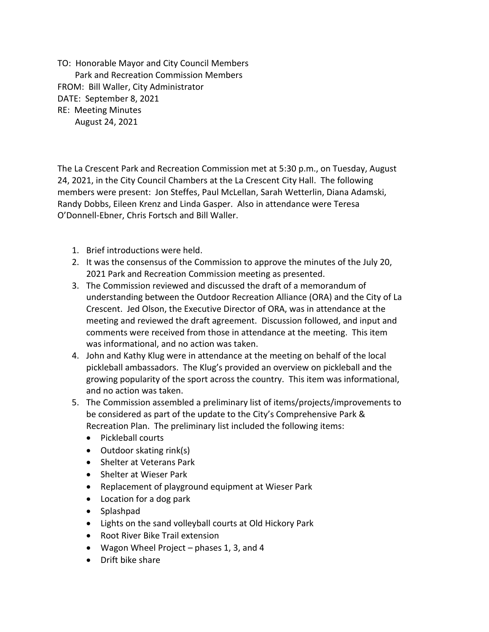TO: Honorable Mayor and City Council Members Park and Recreation Commission Members FROM: Bill Waller, City Administrator DATE: September 8, 2021 RE: Meeting Minutes August 24, 2021

The La Crescent Park and Recreation Commission met at 5:30 p.m., on Tuesday, August 24, 2021, in the City Council Chambers at the La Crescent City Hall. The following members were present: Jon Steffes, Paul McLellan, Sarah Wetterlin, Diana Adamski, Randy Dobbs, Eileen Krenz and Linda Gasper. Also in attendance were Teresa O'Donnell-Ebner, Chris Fortsch and Bill Waller.

- 1. Brief introductions were held.
- 2. It was the consensus of the Commission to approve the minutes of the July 20, 2021 Park and Recreation Commission meeting as presented.
- 3. The Commission reviewed and discussed the draft of a memorandum of understanding between the Outdoor Recreation Alliance (ORA) and the City of La Crescent. Jed Olson, the Executive Director of ORA, was in attendance at the meeting and reviewed the draft agreement. Discussion followed, and input and comments were received from those in attendance at the meeting. This item was informational, and no action was taken.
- 4. John and Kathy Klug were in attendance at the meeting on behalf of the local pickleball ambassadors. The Klug's provided an overview on pickleball and the growing popularity of the sport across the country. This item was informational, and no action was taken.
- 5. The Commission assembled a preliminary list of items/projects/improvements to be considered as part of the update to the City's Comprehensive Park & Recreation Plan. The preliminary list included the following items:
	- Pickleball courts
	- Outdoor skating rink(s)
	- Shelter at Veterans Park
	- Shelter at Wieser Park
	- Replacement of playground equipment at Wieser Park
	- Location for a dog park
	- Splashpad
	- Lights on the sand volleyball courts at Old Hickory Park
	- Root River Bike Trail extension
	- Wagon Wheel Project phases 1, 3, and 4
	- Drift bike share